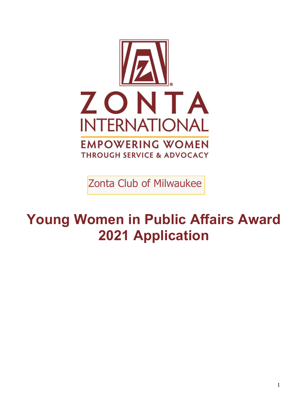

Zonta Club of Milwaukee

# **Young Women in Public Affairs Award 2021 Application**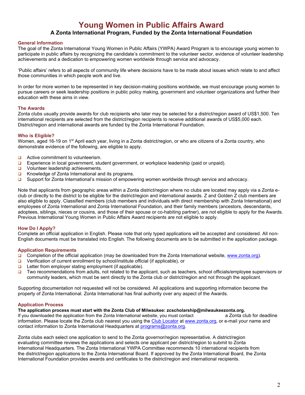### **Young Women in Public Affairs Award**

#### **A Zonta International Program, Funded by the Zonta International Foundation**

#### **General Information**

The goal of the Zonta International Young Women in Public Affairs (YWPA) Award Program is to encourage young women to participate in public affairs by recognizing the candidate's commitment to the volunteer sector, evidence of volunteer leadership achievements and a dedication to empowering women worldwide through service and advocacy.

'Public affairs' refers to all aspects of community life where decisions have to be made about issues which relate to and affect those communities in which people work and live.

In order for more women to be represented in key decision-making positions worldwide, we must encourage young women to pursue careers or seek leadership positions in public policy making, government and volunteer organizations and further their education with these aims in view.

#### **The Awards**

Zonta clubs usually provide awards for club recipients who later may be selected for a district/region award of US\$1,500. Ten international recipients are selected from the district/region recipients to receive additional awards of US\$5,000 each. District/region and international awards are funded by the Zonta International Foundation.

#### **Who is Eligible?**

Women, aged 16-19 on 1<sup>st</sup> April each year, living in a Zonta district/region, or who are citizens of a Zonta country, who demonstrate evidence of the following, are eligible to apply.

- ❑ Active commitment to volunteerism.
- ❑ Experience in local government, student government, or workplace leadership (paid or unpaid).
- ❑ Volunteer leadership achievements.
- ❑ Knowledge of Zonta International and its programs.
- ❑ Support for Zonta International's mission of empowering women worldwide through service and advocacy.

Note that applicants from geographic areas within a Zonta district/region where no clubs are located may apply via a Zonta eclub or directly to the district to be eligible for the district/region and international awards. Z and Golden Z club members are also eligible to apply. Classified members (club members and individuals with direct membership with Zonta International) and employees of Zonta International and Zonta International Foundation, and their family members (ancestors, descendants, adoptees, siblings, nieces or cousins, and those of their spouse or co-habiting partner), are not eligible to apply for the Awards. Previous International Young Women in Public Affairs Award recipients are not eligible to apply.

#### **How Do I Apply?**

Complete an official application in English. Please note that only typed applications will be accepted and considered. All non-English documents must be translated into English. The following documents are to be submitted in the application package.

#### **Application Requirements**

- ❑ Completion of the official application (may be downloaded from the Zonta International website, www.zonta.org).
- ❑ Verification of current enrollment by school/institute official (if applicable), or
- ❑ Letter from employer stating employment (if applicable).
- ❑ Two recommendations from adults, not related to the applicant, such as teachers, school officials/employee supervisors or community leaders, which must be sent directly to the Zonta club or district/region and not through the applicant.

Supporting documentation not requested will not be considered. All applications and supporting information become the property of Zonta International. Zonta International has final authority over any aspect of the Awards.

#### **Application Process**

#### The application process must start with the Zonta Club of Milwaukee: zcscholarship@milwaukeezonta.org.  $\,$

If you downloaded the application from the Zonta International website, you must contact a Zonta club for deadline information. Please locate the Zonta club nearest you using the Club Locator at www.zonta.org, or e-mail your name and contact information to Zonta International Headquarters at programs@zonta.org.

Zonta clubs each select one application to send to the Zonta governor/region representative. A district/region evaluating committee reviews the applications and selects one applicant per district/region to submit to Zonta International Headquarters. The Zonta International YWPA Committee recommends 10 international recipients from the district/region applications to the Zonta International Board. If approved by the Zonta International Board, the Zonta International Foundation provides awards and certificates to the district/region and international recipients.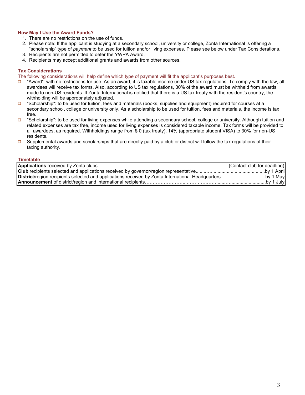#### **How May I Use the Award Funds?**

- 1. There are no restrictions on the use of funds.
- 2. Please note: If the applicant is studying at a secondary school, university or college, Zonta International is offering a "scholarship" type of *payment* to be used for tuition and/or living expenses. Please see below under Tax Considerations.
- 3. Recipients are not permitted to defer the YWPA Award.
- 4. Recipients may accept additional grants and awards from other sources.

#### **Tax Considerations**

The following considerations will help define which type of payment will fit the applicant's purposes best.

- □ "Award": with no restrictions for use. As an award, it is taxable income under US tax regulations. To comply with the law, all awardees will receive tax forms. Also, according to US tax regulations, 30% of the award must be withheld from awards made to non-US residents. If Zonta International is notified that there is a US tax treaty with the resident's country, the withholding will be appropriately adjusted.
- ❑ "Scholarship": to be used for tuition, fees and materials (books, supplies and equipment) required for courses at a secondary school, college or university only. As a scholarship to be used for tuition, fees and materials, the income is tax free.
- ❑ "Scholarship": to be used for living expenses while attending a secondary school, college or university. Although tuition and related expenses are tax free, income used for living expenses is considered taxable income. Tax forms will be provided to all awardees, as required. Withholdings range from \$ 0 (tax treaty), 14% (appropriate student VISA) to 30% for non-US residents.
- □ Supplemental awards and scholarships that are directly paid by a club or district will follow the tax regulations of their taxing authority.

#### **Timetable**

| <b>District/region recipients selected and applications received by Zonta International Headquartersby 1 May</b> |           |
|------------------------------------------------------------------------------------------------------------------|-----------|
|                                                                                                                  | by 1 July |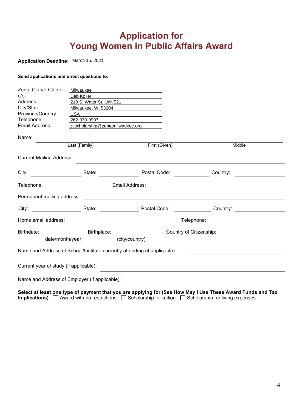### **Application for Young Women in Public Affairs Award**

#### **Application Deadline:** March 15, 2021

#### **Send applications and direct questions to:**

| Zonta Club/e-Club of:                                                                                                                                                                                                          | Milwaukee                        | <u> 1980 - Jan Samuel Barbara, martin da shekarar 1980 - An tsara 1980 - An tsara 1980 - An tsara 1980 - An tsar</u>                                                         |                                                                                                                      |  |
|--------------------------------------------------------------------------------------------------------------------------------------------------------------------------------------------------------------------------------|----------------------------------|------------------------------------------------------------------------------------------------------------------------------------------------------------------------------|----------------------------------------------------------------------------------------------------------------------|--|
| $C/O$ :                                                                                                                                                                                                                        | Deb Koller                       | <u> 1989 - Jan Samuel Barbara, martxa a shekara 1980 - An tsara 1980 - An tsara 1980 - An tsara 1980 - An tsara 1</u>                                                        |                                                                                                                      |  |
| Address:                                                                                                                                                                                                                       | 210 S. Water St. Unit 521        |                                                                                                                                                                              |                                                                                                                      |  |
| City/State:                                                                                                                                                                                                                    | Milwaukee, WI 53204              |                                                                                                                                                                              |                                                                                                                      |  |
| Province/Country:                                                                                                                                                                                                              | USA                              | <u> 1989 - Andrea Barbara, poeta espa</u>                                                                                                                                    |                                                                                                                      |  |
| Telephone:                                                                                                                                                                                                                     | 262-930-0907                     |                                                                                                                                                                              |                                                                                                                      |  |
| Email Address:                                                                                                                                                                                                                 | zcscholarship@zontamilwaukee.org |                                                                                                                                                                              |                                                                                                                      |  |
| Name:                                                                                                                                                                                                                          |                                  |                                                                                                                                                                              |                                                                                                                      |  |
|                                                                                                                                                                                                                                | Last (Family)                    | First (Given)                                                                                                                                                                | Middle                                                                                                               |  |
| <b>Current Mailing Address:</b>                                                                                                                                                                                                |                                  |                                                                                                                                                                              |                                                                                                                      |  |
| City: the contract of the contract of the contract of the contract of the contract of the contract of the contract of the contract of the contract of the contract of the contract of the contract of the contract of the cont | State:                           | Postal Code:                                                                                                                                                                 | Country:                                                                                                             |  |
|                                                                                                                                                                                                                                | Telephone: Email Address:        |                                                                                                                                                                              | <u> 1989 - Johann Barbara, martin amerikan basal dan berasal dan berasal dalam basal dan berasal dan berasal dan</u> |  |
|                                                                                                                                                                                                                                |                                  |                                                                                                                                                                              |                                                                                                                      |  |
| City: the contract of the contract of the contract of the contract of the contract of the contract of the contract of the contract of the contract of the contract of the contract of the contract of the contract of the cont |                                  |                                                                                                                                                                              | State: <b>Example 3 Postal Code:</b> Country:                                                                        |  |
| Home email address:                                                                                                                                                                                                            |                                  | <u> 1989 - Johann Barn, fransk politik fotograf (d. 1989)</u>                                                                                                                | Telephone: <u>_______________________________</u>                                                                    |  |
| Birthdate:                                                                                                                                                                                                                     |                                  | Country of Citizenship:<br><u> and</u> and an and an anti-<br>Birthplace: Entry of the state of the state of the state of the state of the state of the state of the state o |                                                                                                                      |  |
|                                                                                                                                                                                                                                | date/month/year                  | (city/country)                                                                                                                                                               |                                                                                                                      |  |
|                                                                                                                                                                                                                                |                                  | Name and Address of School/Institute currently attending (if applicable):                                                                                                    |                                                                                                                      |  |
| Current year of study (if applicable):                                                                                                                                                                                         |                                  |                                                                                                                                                                              |                                                                                                                      |  |
|                                                                                                                                                                                                                                |                                  | Name and Address of Employer (if applicable): Name and Address of Employer (if applicable):                                                                                  |                                                                                                                      |  |

**Select at least one type of payment that you are applying for (See How May I Use These Award Funds and Tax Implications)**  $\Box$  Award with no restrictions  $\Box$  Scholarship for tuition  $\Box$  Scholarship for living expenses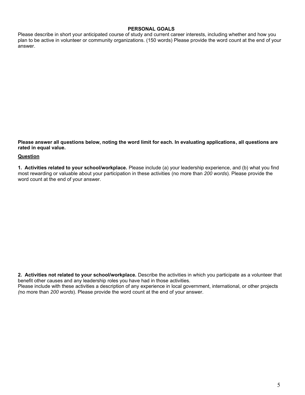#### **PERSONAL GOALS**

Please describe in short your anticipated course of study and current career interests, including whether and how you plan to be active in volunteer or community organizations. (150 words) Please provide the word count at the end of your answer.

**Please answer all questions below, noting the word limit for each. In evaluating applications, all questions are rated in equal value.** 

#### **Question**

**1. Activities related to your school/workplace.** Please include (a) your leadership experience, and (b) what you find most rewarding or valuable about your participation in these activities (no more than *200 words*). Please provide the word count at the end of your answer.

**2. Activities not related to your school/workplace.** Describe the activities in which you participate as a volunteer that benefit other causes and any leadership roles you have had in those activities. Please include with these activities a description of any experience in local government, international, or other projects

*(*no more than *200 words*). Please provide the word count at the end of your answer.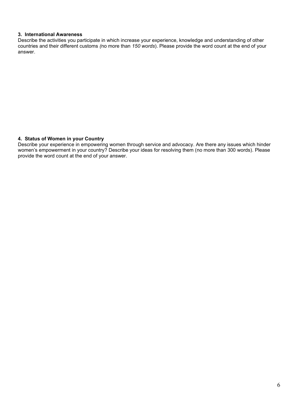#### **3. International Awareness**

Describe the activities you participate in which increase your experience, knowledge and understanding of other countries and their different customs *(*no more than *150 words*). Please provide the word count at the end of your answer.

#### **4. Status of Women in your Country**

Describe your experience in empowering women through service and advocacy. Are there any issues which hinder women's empowerment in your country? Describe your ideas for resolving them (no more than 300 words). Please provide the word count at the end of your answer.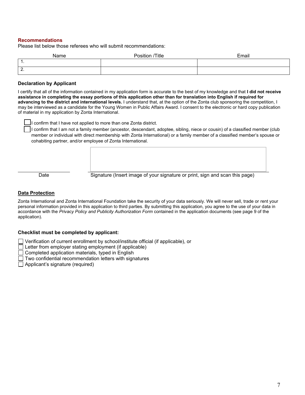#### **Recommendations**

Please list below those referees who will submit recommendations:

| Name     | Position /Title | Email |
|----------|-----------------|-------|
| -1<br>л. |                 |       |
| 2.       |                 |       |

#### **Declaration by Applicant**

I certify that all of the information contained in my application form is accurate to the best of my knowledge and that **I did not receive assistance in completing the essay portions of this application other than for translation into English if required for advancing to the district and international levels.** I understand that, at the option of the Zonta club sponsoring the competition, I may be interviewed as a candidate for the Young Women in Public Affairs Award. I consent to the electronic or hard copy publication of material in my application by Zonta International.



❑ I confirm that I have not applied to more than one Zonta district.

❑ I confirm that I am not a family member (ancestor, descendant, adoptee, sibling, niece or cousin) of a classified member (club member or individual with direct membership with Zonta International) or a family member of a classified member's spouse or cohabiting partner, and/or employee of Zonta International.

Date Signature (Insert image of your signature or print, sign and scan this page)

#### **Data Protection**

Zonta International and Zonta International Foundation take the security of your data seriously. We will never sell, trade or rent your personal information provided in this application to third parties. By submitting this application, you agree to the use of your data in accordance with the *Privacy Policy and Publicity Authorization Form* contained in the application documents (see page 9 of the application).

#### **Checklist must be completed by applicant:**

Verification of current enrollment by school/institute official (if applicable), or

 $\Box$  Letter from employer stating employment (if applicable)

Completed application materials, typed in English

Two confidential recommendation letters with signatures

 $\Box$  Applicant's signature (required)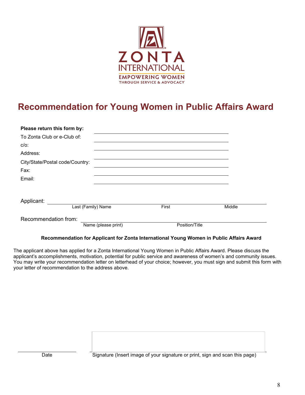

# **Recommendation for Young Women in Public Affairs Award**

| Please return this form by:     |                     |       |                |        |
|---------------------------------|---------------------|-------|----------------|--------|
| To Zonta Club or e-Club of:     |                     |       |                |        |
| $C/O$ :                         |                     |       |                |        |
| Address:                        |                     |       |                |        |
| City/State/Postal code/Country: |                     |       |                |        |
| Fax:                            |                     |       |                |        |
| Email:                          |                     |       |                |        |
|                                 |                     |       |                |        |
| Applicant:                      |                     |       |                |        |
|                                 | Last (Family) Name  | First |                | Middle |
| Recommendation from:            |                     |       |                |        |
|                                 | Name (please print) |       | Position/Title |        |

#### **Recommendation for Applicant for Zonta International Young Women in Public Affairs Award**

The applicant above has applied for a Zonta International Young Women in Public Affairs Award. Please discuss the applicant's accomplishments, motivation, potential for public service and awareness of women's and community issues. You may write your recommendation letter on letterhead of your choice; however, you must sign and submit this form with your letter of recommendation to the address above.

Date Signature (Insert image of your signature or print, sign and scan this page)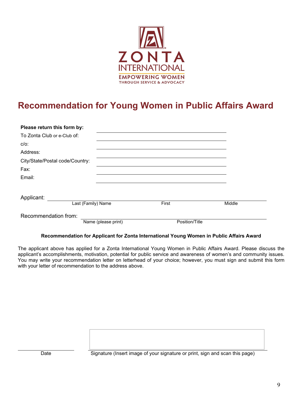

## **Recommendation for Young Women in Public Affairs Award**

| Please return this form by:     |                     |                |        |
|---------------------------------|---------------------|----------------|--------|
| To Zonta Club or e-Club of:     |                     |                |        |
| $C/O$ :                         |                     |                |        |
| Address:                        |                     |                |        |
| City/State/Postal code/Country: |                     |                |        |
| Fax:                            |                     |                |        |
| Email:                          |                     |                |        |
|                                 |                     |                |        |
| Applicant:                      |                     |                |        |
|                                 | Last (Family) Name  | First          | Middle |
| Recommendation from:            |                     |                |        |
|                                 | Name (please print) | Position/Title |        |

#### **Recommendation for Applicant for Zonta International Young Women in Public Affairs Award**

The applicant above has applied for a Zonta International Young Women in Public Affairs Award. Please discuss the applicant's accomplishments, motivation, potential for public service and awareness of women's and community issues. You may write your recommendation letter on letterhead of your choice; however, you must sign and submit this form with your letter of recommendation to the address above.

Date Signature (Insert image of your signature or print, sign and scan this page)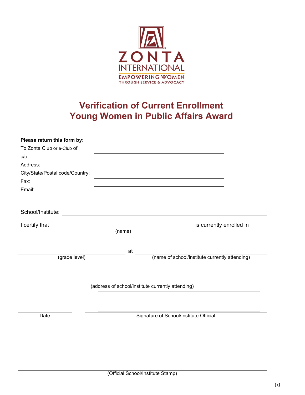

### **Verification of Current Enrollment Young Women in Public Affairs Award**

| Please return this form by:     |                                                   |                                                |  |
|---------------------------------|---------------------------------------------------|------------------------------------------------|--|
| To Zonta Club or e-Club of:     |                                                   |                                                |  |
| $C/O$ :                         |                                                   |                                                |  |
| Address:                        |                                                   |                                                |  |
| City/State/Postal code/Country: |                                                   |                                                |  |
| Fax:                            |                                                   |                                                |  |
| Email:                          |                                                   |                                                |  |
|                                 |                                                   |                                                |  |
|                                 |                                                   |                                                |  |
|                                 |                                                   |                                                |  |
| I certify that                  |                                                   | is currently enrolled in                       |  |
|                                 | (name)                                            |                                                |  |
|                                 |                                                   |                                                |  |
|                                 | at                                                |                                                |  |
| (grade level)                   |                                                   | (name of school/institute currently attending) |  |
|                                 |                                                   |                                                |  |
|                                 |                                                   |                                                |  |
|                                 | (address of school/institute currently attending) |                                                |  |
|                                 |                                                   |                                                |  |
|                                 |                                                   |                                                |  |
|                                 |                                                   |                                                |  |
| Date                            |                                                   | Signature of School/Institute Official         |  |
|                                 |                                                   |                                                |  |